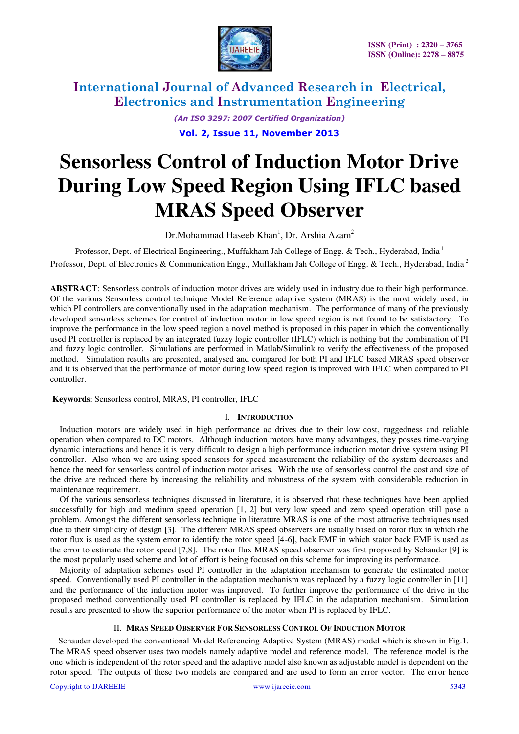

*(An ISO 3297: 2007 Certified Organization)* 

**Vol. 2, Issue 11, November 2013**

# **Sensorless Control of Induction Motor Drive During Low Speed Region Using IFLC based MRAS Speed Observer**

 $Dr.Mohammad Haseeb Khan<sup>1</sup>, Dr. Arshia Azam<sup>2</sup>$ 

Professor, Dept. of Electrical Engineering., Muffakham Jah College of Engg. & Tech., Hyderabad, India<sup>1</sup> Professor, Dept. of Electronics & Communication Engg., Muffakham Jah College of Engg. & Tech., Hyderabad, India<sup>2</sup>

**ABSTRACT**: Sensorless controls of induction motor drives are widely used in industry due to their high performance. Of the various Sensorless control technique Model Reference adaptive system (MRAS) is the most widely used, in which PI controllers are conventionally used in the adaptation mechanism. The performance of many of the previously developed sensorless schemes for control of induction motor in low speed region is not found to be satisfactory. To improve the performance in the low speed region a novel method is proposed in this paper in which the conventionally used PI controller is replaced by an integrated fuzzy logic controller (IFLC) which is nothing but the combination of PI and fuzzy logic controller. Simulations are performed in Matlab/Simulink to verify the effectiveness of the proposed method. Simulation results are presented, analysed and compared for both PI and IFLC based MRAS speed observer and it is observed that the performance of motor during low speed region is improved with IFLC when compared to PI controller.

 **Keywords**: Sensorless control, MRAS, PI controller, IFLC

### I. **INTRODUCTION**

Induction motors are widely used in high performance ac drives due to their low cost, ruggedness and reliable operation when compared to DC motors. Although induction motors have many advantages, they posses time-varying dynamic interactions and hence it is very difficult to design a high performance induction motor drive system using PI controller. Also when we are using speed sensors for speed measurement the reliability of the system decreases and hence the need for sensorless control of induction motor arises. With the use of sensorless control the cost and size of the drive are reduced there by increasing the reliability and robustness of the system with considerable reduction in maintenance requirement.

Of the various sensorless techniques discussed in literature, it is observed that these techniques have been applied successfully for high and medium speed operation [1, 2] but very low speed and zero speed operation still pose a problem. Amongst the different sensorless technique in literature MRAS is one of the most attractive techniques used due to their simplicity of design [3]. The different MRAS speed observers are usually based on rotor flux in which the rotor flux is used as the system error to identify the rotor speed [4-6], back EMF in which stator back EMF is used as the error to estimate the rotor speed [7,8]. The rotor flux MRAS speed observer was first proposed by Schauder [9] is the most popularly used scheme and lot of effort is being focused on this scheme for improving its performance.

Majority of adaptation schemes used PI controller in the adaptation mechanism to generate the estimated motor speed. Conventionally used PI controller in the adaptation mechanism was replaced by a fuzzy logic controller in [11] and the performance of the induction motor was improved. To further improve the performance of the drive in the proposed method conventionally used PI controller is replaced by IFLC in the adaptation mechanism. Simulation results are presented to show the superior performance of the motor when PI is replaced by IFLC.

### II. **MRAS SPEED OBSERVER FOR SENSORLESS CONTROL OF INDUCTION MOTOR**

Schauder developed the conventional Model Referencing Adaptive System (MRAS) model which is shown in Fig.1. The MRAS speed observer uses two models namely adaptive model and reference model. The reference model is the one which is independent of the rotor speed and the adaptive model also known as adjustable model is dependent on the rotor speed. The outputs of these two models are compared and are used to form an error vector. The error hence

Copyright to IJAREEIE www.ijareeie.com 5343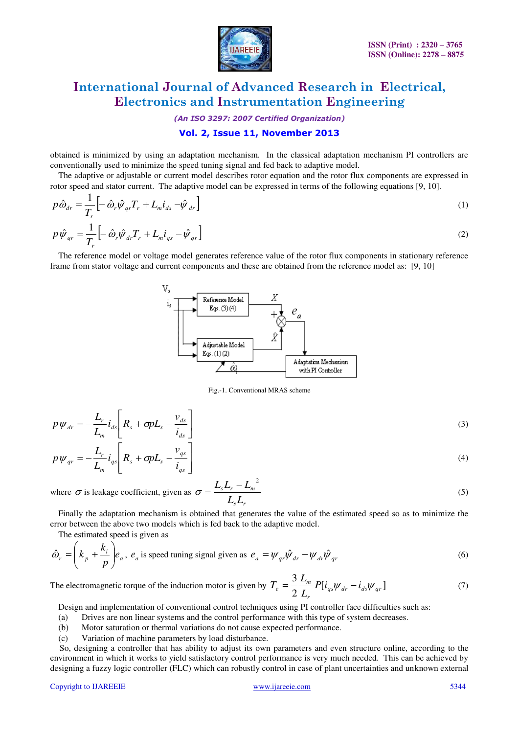

*(An ISO 3297: 2007 Certified Organization)* 

# **Vol. 2, Issue 11, November 2013**

obtained is minimized by using an adaptation mechanism. In the classical adaptation mechanism PI controllers are conventionally used to minimize the speed tuning signal and fed back to adaptive model.

The adaptive or adjustable or current model describes rotor equation and the rotor flux components are expressed in rotor speed and stator current. The adaptive model can be expressed in terms of the following equations [9, 10].

$$
p\hat{\omega}_{dr} = \frac{1}{T_r} \left[ -\hat{\omega}_r \hat{\psi}_{qr} T_r + L_m \dot{\iota}_{ds} - \hat{\psi}_{dr} \right]
$$
  
\n
$$
p\hat{\psi}_{qr} = \frac{1}{T_r} \left[ -\hat{\omega}_r \hat{\psi}_{dr} T_r + L_m \dot{\iota}_{qs} - \hat{\psi}_{qr} \right]
$$
\n(1)

The reference model or voltage model generates reference value of the rotor flux components in stationary reference frame from stator voltage and current components and these are obtained from the reference model as: [9, 10]



Fig.-1. Conventional MRAS scheme

$$
p\psi_{dr} = -\frac{L_r}{L_m} i_{ds} \left[ R_s + \sigma p L_s - \frac{v_{ds}}{i_{ds}} \right]
$$
  
\n
$$
p\psi_{qr} = -\frac{L_r}{I} i_{qs} \left[ R_s + \sigma p L_s - \frac{v_{qs}}{i} \right]
$$
\n(3)

$$
P\Psi_{qr} = L_m^{-\ell_{qs}} \begin{bmatrix} \kappa_s + OP_{\kappa} & \hat{i}_{qs} \end{bmatrix}
$$
  
where  $\sigma$  is leakage coefficient, given as  $\sigma = \frac{L_s L_r - L_m^{-2}}{L_s L_r}$  (5)

Finally the adaptation mechanism is obtained that generates the value of the estimated speed so as to minimize the error between the above two models which is fed back to the adaptive model.

The estimated speed is given as

$$
\hat{\omega}_r = \left(k_p + \frac{k_i}{p}\right) e_a, \ e_a \text{ is speed tuning signal given as } e_a = \psi_{qr} \hat{\psi}_{dr} - \psi_{dr} \hat{\psi}_{qr}
$$
\n
$$
\tag{6}
$$

The electromagnetic torque of the induction motor is given by  $T_e = \frac{3}{2} \frac{E_m}{I} P[i_{as} \psi_{dr} - i_{ds} \psi_{ar}]$ 2 3 *qs dr ds qr r*  $\sum_{e}^{i} = \frac{3}{2} \frac{L_m}{I} P[i_{qs} \psi_{dr} - i]$ *L*  $T_e = \frac{3}{2} \frac{L_m}{I} P[i_{as} \psi_{dr} - i_{ds} \psi_{ar}]$  (7)

Design and implementation of conventional control techniques using PI controller face difficulties such as:

(a) Drives are non linear systems and the control performance with this type of system decreases.

- (b) Motor saturation or thermal variations do not cause expected performance.
- (c) Variation of machine parameters by load disturbance.

So, designing a controller that has ability to adjust its own parameters and even structure online, according to the environment in which it works to yield satisfactory control performance is very much needed. This can be achieved by designing a fuzzy logic controller (FLC) which can robustly control in case of plant uncertainties and unknown external

#### Copyright to IJAREEIE www.ijareeie.com 5344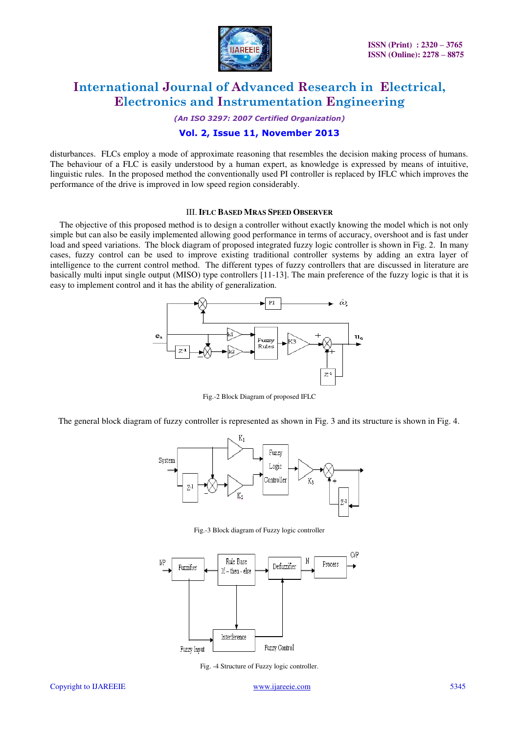

*(An ISO 3297: 2007 Certified Organization)* 

### **Vol. 2, Issue 11, November 2013**

disturbances. FLCs employ a mode of approximate reasoning that resembles the decision making process of humans. The behaviour of a FLC is easily understood by a human expert, as knowledge is expressed by means of intuitive, linguistic rules. In the proposed method the conventionally used PI controller is replaced by IFLC which improves the performance of the drive is improved in low speed region considerably.

#### III.**IFLC BASED MRAS SPEED OBSERVER**

The objective of this proposed method is to design a controller without exactly knowing the model which is not only simple but can also be easily implemented allowing good performance in terms of accuracy, overshoot and is fast under load and speed variations. The block diagram of proposed integrated fuzzy logic controller is shown in Fig. 2. In many cases, fuzzy control can be used to improve existing traditional controller systems by adding an extra layer of intelligence to the current control method. The different types of fuzzy controllers that are discussed in literature are basically multi input single output (MISO) type controllers [11-13]. The main preference of the fuzzy logic is that it is easy to implement control and it has the ability of generalization.



Fig.-2 Block Diagram of proposed IFLC

The general block diagram of fuzzy controller is represented as shown in Fig. 3 and its structure is shown in Fig. 4.



Fig.-3 Block diagram of Fuzzy logic controller



Fig. -4 Structure of Fuzzy logic controller.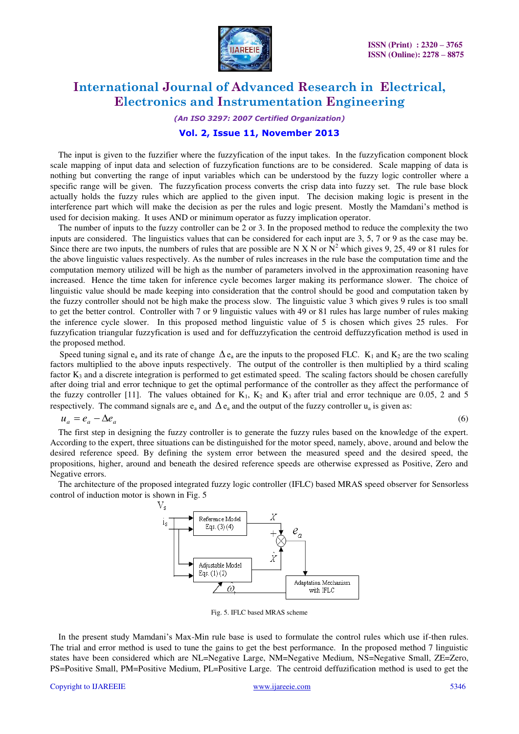

*(An ISO 3297: 2007 Certified Organization)* 

### **Vol. 2, Issue 11, November 2013**

The input is given to the fuzzifier where the fuzzyfication of the input takes. In the fuzzyfication component block scale mapping of input data and selection of fuzzyfication functions are to be considered. Scale mapping of data is nothing but converting the range of input variables which can be understood by the fuzzy logic controller where a specific range will be given. The fuzzyfication process converts the crisp data into fuzzy set. The rule base block actually holds the fuzzy rules which are applied to the given input. The decision making logic is present in the interference part which will make the decision as per the rules and logic present. Mostly the Mamdani's method is used for decision making. It uses AND or minimum operator as fuzzy implication operator.

The number of inputs to the fuzzy controller can be 2 or 3. In the proposed method to reduce the complexity the two inputs are considered. The linguistics values that can be considered for each input are 3, 5, 7 or 9 as the case may be. Since there are two inputs, the numbers of rules that are possible are N X N or  $N^2$  which gives 9, 25, 49 or 81 rules for the above linguistic values respectively. As the number of rules increases in the rule base the computation time and the computation memory utilized will be high as the number of parameters involved in the approximation reasoning have increased. Hence the time taken for inference cycle becomes larger making its performance slower. The choice of linguistic value should be made keeping into consideration that the control should be good and computation taken by the fuzzy controller should not be high make the process slow. The linguistic value 3 which gives 9 rules is too small to get the better control. Controller with 7 or 9 linguistic values with 49 or 81 rules has large number of rules making the inference cycle slower. In this proposed method linguistic value of 5 is chosen which gives 25 rules. For fuzzyfication triangular fuzzyfication is used and for deffuzzyfication the centroid deffuzzyfication method is used in the proposed method.

Speed tuning signal  $e_a$  and its rate of change  $\Delta e_a$  are the inputs to the proposed FLC.  $K_1$  and  $K_2$  are the two scaling factors multiplied to the above inputs respectively. The output of the controller is then multiplied by a third scaling factor  $K_3$  and a discrete integration is performed to get estimated speed. The scaling factors should be chosen carefully after doing trial and error technique to get the optimal performance of the controller as they affect the performance of the fuzzy controller [11]. The values obtained for  $K_1$ ,  $K_2$  and  $K_3$  after trial and error technique are 0.05, 2 and 5 respectively. The command signals are  $e_a$  and  $\Delta e_a$  and the output of the fuzzy controller  $u_a$  is given as:

$$
u_a = e_a - \Delta e_a \tag{6}
$$

The first step in designing the fuzzy controller is to generate the fuzzy rules based on the knowledge of the expert. According to the expert, three situations can be distinguished for the motor speed, namely, above, around and below the desired reference speed. By defining the system error between the measured speed and the desired speed, the propositions, higher, around and beneath the desired reference speeds are otherwise expressed as Positive, Zero and Negative errors.

The architecture of the proposed integrated fuzzy logic controller (IFLC) based MRAS speed observer for Sensorless control of induction motor is shown in Fig. 5



Fig. 5. IFLC based MRAS scheme

In the present study Mamdani's Max-Min rule base is used to formulate the control rules which use if-then rules. The trial and error method is used to tune the gains to get the best performance. In the proposed method 7 linguistic states have been considered which are NL=Negative Large, NM=Negative Medium, NS=Negative Small, ZE=Zero, PS=Positive Small, PM=Positive Medium, PL=Positive Large. The centroid deffuzification method is used to get the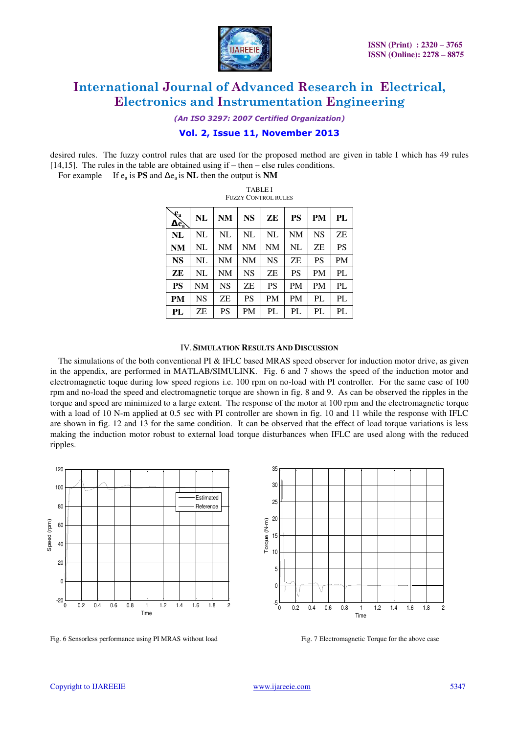

*(An ISO 3297: 2007 Certified Organization)* 

# **Vol. 2, Issue 11, November 2013**

desired rules. The fuzzy control rules that are used for the proposed method are given in table I which has 49 rules [14,15]. The rules in the table are obtained using if – then – else rules conditions.

TABLE I

For example If  $e_a$  is **PS** and  $\Delta e_a$  is **NL** then the output is **NM** 

| <b>FUZZY CONTROL RULES</b>        |           |           |           |           |           |           |    |
|-----------------------------------|-----------|-----------|-----------|-----------|-----------|-----------|----|
| $\mathcal{L}_{a}$<br>$\Delta e_a$ | NL        | NM        | <b>NS</b> | ZЕ        | <b>PS</b> | PM        | PL |
| <b>NL</b>                         | NL        | NL        | NL        | NL        | <b>NM</b> | <b>NS</b> | ZΕ |
| <b>NM</b>                         | NL        | NΜ        | <b>NM</b> | NM        | NL        | ZΕ        | PS |
| <b>NS</b>                         | NL        | NM        | <b>NM</b> | <b>NS</b> | ZΕ        | <b>PS</b> | PM |
| ZE                                | NL        | NΜ        | NS        | ZΕ        | <b>PS</b> | <b>PM</b> | PL |
| <b>PS</b>                         | NM        | <b>NS</b> | ZΕ        | <b>PS</b> | <b>PM</b> | <b>PM</b> | PL |
| <b>PM</b>                         | <b>NS</b> | ZΕ        | PS        | <b>PM</b> | <b>PM</b> | PL        | PL |
| PL                                | ZΕ        | PS        | PM        | PL        | PL        | PL        | PL |

#### IV.**SIMULATION RESULTS AND DISCUSSION**

The simulations of the both conventional PI & IFLC based MRAS speed observer for induction motor drive, as given in the appendix, are performed in MATLAB/SIMULINK. Fig. 6 and 7 shows the speed of the induction motor and electromagnetic toque during low speed regions i.e. 100 rpm on no-load with PI controller. For the same case of 100 rpm and no-load the speed and electromagnetic torque are shown in fig. 8 and 9. As can be observed the ripples in the torque and speed are minimized to a large extent. The response of the motor at 100 rpm and the electromagnetic torque with a load of 10 N-m applied at 0.5 sec with PI controller are shown in fig. 10 and 11 while the response with IFLC are shown in fig. 12 and 13 for the same condition. It can be observed that the effect of load torque variations is less making the induction motor robust to external load torque disturbances when IFLC are used along with the reduced ripples.



Fig. 6 Sensorless performance using PI MRAS without load Fig. 7 Electromagnetic Torque for the above case

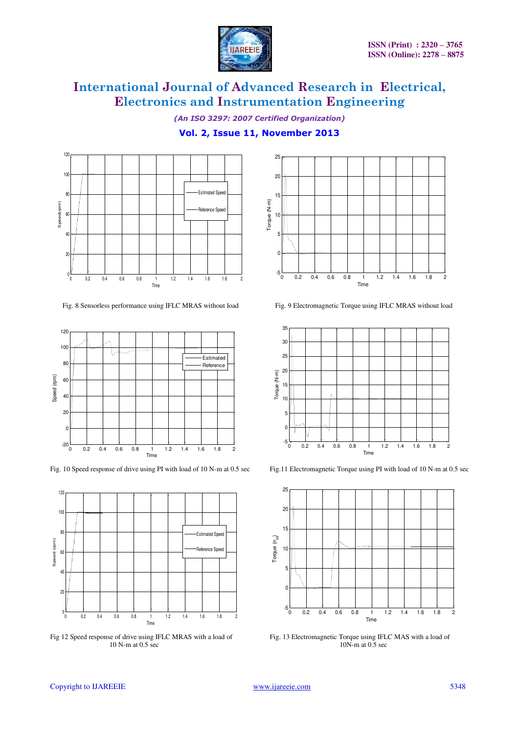

*(An ISO 3297: 2007 Certified Organization)* 

# **Vol. 2, Issue 11, November 2013**



Fig. 8 Sensorless performance using IFLC MRAS without load Fig. 9 Electromagnetic Torque using IFLC MRAS without load



Fig. 10 Speed response of drive using PI with load of 10 N-m at 0.5 sec Fig.11 Electromagnetic Torque using PI with load of 10 N-m at 0.5 sec



Fig 12 Speed response of drive using IFLC MRAS with a load of Fig. 13 Electromagnetic Torque using IFLC MAS with a load of 10 N-m at 0.5 sec  $10$  N-m at  $0.5$  sec

![](_page_5_Figure_11.jpeg)

![](_page_5_Figure_13.jpeg)

![](_page_5_Figure_15.jpeg)